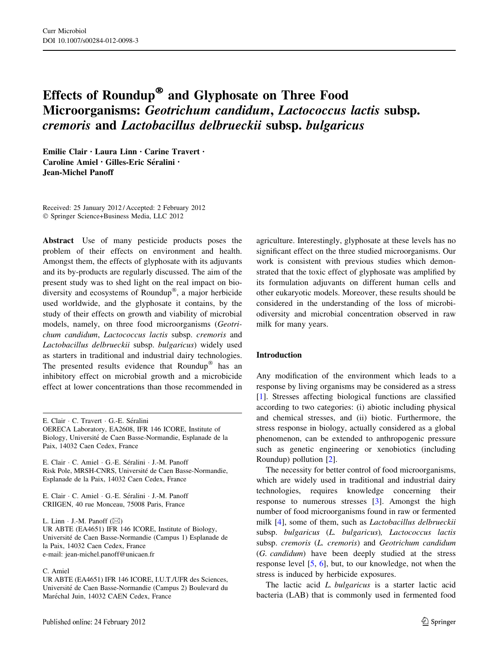# Effects of Roundup® and Glyphosate on Three Food Microorganisms: Geotrichum candidum, Lactococcus lactis subsp. cremoris and Lactobacillus delbrueckii subsp. bulgaricus

Emilie Clair • Laura Linn • Carine Travert • Caroline Amiel • Gilles-Eric Séralini • Jean-Michel Panoff

Received: 25 January 2012 / Accepted: 2 February 2012 - Springer Science+Business Media, LLC 2012

Abstract Use of many pesticide products poses the problem of their effects on environment and health. Amongst them, the effects of glyphosate with its adjuvants and its by-products are regularly discussed. The aim of the present study was to shed light on the real impact on biodiversity and ecosystems of Roundup<sup>®</sup>, a major herbicide used worldwide, and the glyphosate it contains, by the study of their effects on growth and viability of microbial models, namely, on three food microorganisms (Geotrichum candidum, Lactococcus lactis subsp. cremoris and Lactobacillus delbrueckii subsp. bulgaricus) widely used as starters in traditional and industrial dairy technologies. The presented results evidence that  $Roundup^@$  has an inhibitory effect on microbial growth and a microbicide effect at lower concentrations than those recommended in

E. Clair · C. Travert · G.-E. Séralini OERECA Laboratory, EA2608, IFR 146 ICORE, Institute of Biology, Université de Caen Basse-Normandie, Esplanade de la Paix, 14032 Caen Cedex, France

E. Clair · C. Amiel · G.-E. Séralini · J.-M. Panoff Risk Pole, MRSH-CNRS, Université de Caen Basse-Normandie, Esplanade de la Paix, 14032 Caen Cedex, France

E. Clair · C. Amiel · G.-E. Séralini · J.-M. Panoff CRIIGEN, 40 rue Monceau, 75008 Paris, France

L. Linn  $\cdot$  J.-M. Panoff ( $\boxtimes$ )

UR ABTE (EA4651) IFR 146 ICORE, Institute of Biology, Universite´ de Caen Basse-Normandie (Campus 1) Esplanade de la Paix, 14032 Caen Cedex, France e-mail: jean-michel.panoff@unicaen.fr

#### C. Amiel

UR ABTE (EA4651) IFR 146 ICORE, I.U.T./UFR des Sciences, Universite´ de Caen Basse-Normandie (Campus 2) Boulevard du Maréchal Juin, 14032 CAEN Cedex, France

agriculture. Interestingly, glyphosate at these levels has no significant effect on the three studied microorganisms. Our work is consistent with previous studies which demonstrated that the toxic effect of glyphosate was amplified by its formulation adjuvants on different human cells and other eukaryotic models. Moreover, these results should be considered in the understanding of the loss of microbiodiversity and microbial concentration observed in raw milk for many years.

#### Introduction

Any modification of the environment which leads to a response by living organisms may be considered as a stress [\[1](#page-4-0)]. Stresses affecting biological functions are classified according to two categories: (i) abiotic including physical and chemical stresses, and (ii) biotic. Furthermore, the stress response in biology, actually considered as a global phenomenon, can be extended to anthropogenic pressure such as genetic engineering or xenobiotics (including Roundup) pollution [\[2](#page-4-0)].

The necessity for better control of food microorganisms, which are widely used in traditional and industrial dairy technologies, requires knowledge concerning their response to numerous stresses [[3\]](#page-5-0). Amongst the high number of food microorganisms found in raw or fermented milk [\[4](#page-5-0)], some of them, such as Lactobacillus delbrueckii subsp. bulgaricus (L. bulgaricus), Lactococcus lactis subsp. cremoris (L. cremoris) and Geotrichum candidum (G. candidum) have been deeply studied at the stress response level [\[5](#page-5-0), [6](#page-5-0)], but, to our knowledge, not when the stress is induced by herbicide exposures.

The lactic acid *L. bulgaricus* is a starter lactic acid bacteria (LAB) that is commonly used in fermented food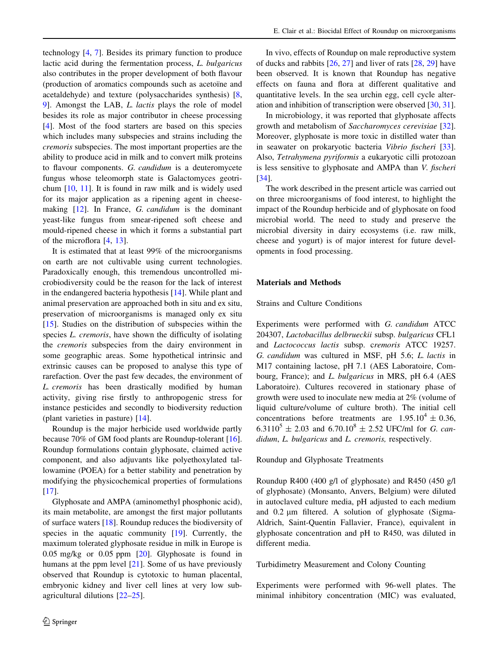technology [\[4](#page-5-0), [7\]](#page-5-0). Besides its primary function to produce lactic acid during the fermentation process, L. bulgaricus also contributes in the proper development of both flavour (production of aromatics compounds such as acetoïne and acetaldehyde) and texture (polysaccharides synthesis) [[8,](#page-5-0) [9](#page-5-0)]. Amongst the LAB, L. lactis plays the role of model besides its role as major contributor in cheese processing [\[4](#page-5-0)]. Most of the food starters are based on this species which includes many subspecies and strains including the cremoris subspecies. The most important properties are the ability to produce acid in milk and to convert milk proteins to flavour components. G. candidum is a deuteromycete fungus whose teleomorph state is Galactomyces geotrichum [[10,](#page-5-0) [11\]](#page-5-0). It is found in raw milk and is widely used for its major application as a ripening agent in cheese-making [\[12](#page-5-0)]. In France, G. *candidum* is the dominant yeast-like fungus from smear-ripened soft cheese and mould-ripened cheese in which it forms a substantial part of the microflora [[4,](#page-5-0) [13](#page-5-0)].

It is estimated that at least 99% of the microorganisms on earth are not cultivable using current technologies. Paradoxically enough, this tremendous uncontrolled microbiodiversity could be the reason for the lack of interest in the endangered bacteria hypothesis [\[14](#page-5-0)]. While plant and animal preservation are approached both in situ and ex situ, preservation of microorganisms is managed only ex situ [\[15](#page-5-0)]. Studies on the distribution of subspecies within the species *L. cremoris*, have shown the difficulty of isolating the cremoris subspecies from the dairy environment in some geographic areas. Some hypothetical intrinsic and extrinsic causes can be proposed to analyse this type of rarefaction. Over the past few decades, the environment of L. cremoris has been drastically modified by human activity, giving rise firstly to anthropogenic stress for instance pesticides and secondly to biodiversity reduction (plant varieties in pasture) [\[14](#page-5-0)].

Roundup is the major herbicide used worldwide partly because 70% of GM food plants are Roundup-tolerant [\[16](#page-5-0)]. Roundup formulations contain glyphosate, claimed active component, and also adjuvants like polyethoxylated tallowamine (POEA) for a better stability and penetration by modifying the physicochemical properties of formulations [\[17](#page-5-0)].

Glyphosate and AMPA (aminomethyl phosphonic acid), its main metabolite, are amongst the first major pollutants of surface waters [\[18](#page-5-0)]. Roundup reduces the biodiversity of species in the aquatic community [\[19](#page-5-0)]. Currently, the maximum tolerated glyphosate residue in milk in Europe is 0.05 mg/kg or 0.05 ppm [[20\]](#page-5-0). Glyphosate is found in humans at the ppm level [\[21](#page-5-0)]. Some of us have previously observed that Roundup is cytotoxic to human placental, embryonic kidney and liver cell lines at very low subagricultural dilutions [\[22–25](#page-5-0)].

In vivo, effects of Roundup on male reproductive system of ducks and rabbits [\[26](#page-5-0), [27\]](#page-5-0) and liver of rats [\[28](#page-5-0), [29](#page-5-0)] have been observed. It is known that Roundup has negative effects on fauna and flora at different qualitative and quantitative levels. In the sea urchin egg, cell cycle alteration and inhibition of transcription were observed [[30,](#page-5-0) [31](#page-5-0)].

In microbiology, it was reported that glyphosate affects growth and metabolism of Saccharomyces cerevisiae [\[32](#page-5-0)]. Moreover, glyphosate is more toxic in distilled water than in seawater on prokaryotic bacteria Vibrio fischeri [\[33](#page-5-0)]. Also, Tetrahymena pyriformis a eukaryotic cilli protozoan is less sensitive to glyphosate and AMPA than V. fischeri [\[34](#page-5-0)].

The work described in the present article was carried out on three microorganisms of food interest, to highlight the impact of the Roundup herbicide and of glyphosate on food microbial world. The need to study and preserve the microbial diversity in dairy ecosystems (i.e. raw milk, cheese and yogurt) is of major interest for future developments in food processing.

#### Materials and Methods

#### Strains and Culture Conditions

Experiments were performed with G. candidum ATCC 204307, Lactobacillus delbrueckii subsp. bulgaricus CFL1 and Lactococcus lactis subsp. cremoris ATCC 19257. G. candidum was cultured in MSF, pH 5.6; L. lactis in M17 containing lactose, pH 7.1 (AES Laboratoire, Combourg, France); and *L. bulgaricus* in MRS, pH 6.4 (AES Laboratoire). Cultures recovered in stationary phase of growth were used to inoculate new media at 2% (volume of liquid culture/volume of culture broth). The initial cell concentrations before treatments are  $1.95.10^4 \pm 0.36$ , 6.3110<sup>5</sup>  $\pm$  2.03 and 6.70.10<sup>8</sup>  $\pm$  2.52 UFC/ml for *G. can*didum, L. bulgaricus and L. cremoris, respectively.

#### Roundup and Glyphosate Treatments

Roundup R400 (400 g/l of glyphosate) and R450 (450 g/l of glyphosate) (Monsanto, Anvers, Belgium) were diluted in autoclaved culture media, pH adjusted to each medium and  $0.2 \mu m$  filtered. A solution of glyphosate (Sigma-Aldrich, Saint-Quentin Fallavier, France), equivalent in glyphosate concentration and pH to R450, was diluted in different media.

#### Turbidimetry Measurement and Colony Counting

Experiments were performed with 96-well plates. The minimal inhibitory concentration (MIC) was evaluated,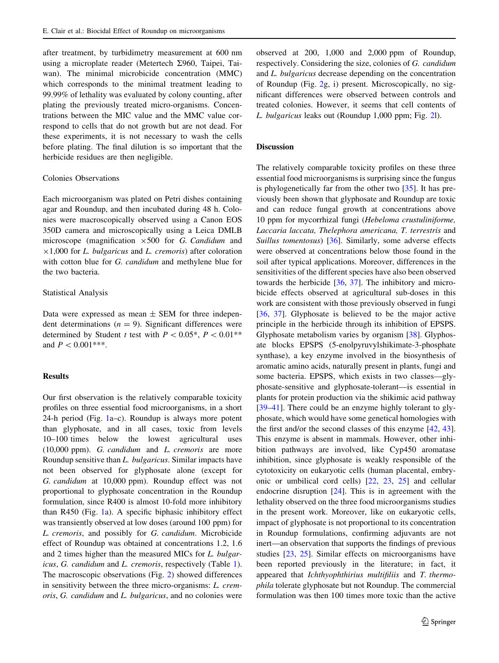after treatment, by turbidimetry measurement at 600 nm using a microplate reader (Metertech  $\Sigma$ 960, Taipei, Taiwan). The minimal microbicide concentration (MMC) which corresponds to the minimal treatment leading to 99.99% of lethality was evaluated by colony counting, after plating the previously treated micro-organisms. Concentrations between the MIC value and the MMC value correspond to cells that do not growth but are not dead. For these experiments, it is not necessary to wash the cells before plating. The final dilution is so important that the herbicide residues are then negligible.

#### Colonies Observations

Each microorganism was plated on Petri dishes containing agar and Roundup, and then incubated during 48 h. Colonies were macroscopically observed using a Canon EOS 350D camera and microscopically using a Leica DMLB microscope (magnification  $\times 500$  for G. Candidum and  $\times$ 1,000 for *L. bulgaricus* and *L. cremoris*) after coloration with cotton blue for G. *candidum* and methylene blue for the two bacteria.

### Statistical Analysis

Data were expressed as mean  $\pm$  SEM for three independent determinations  $(n = 9)$ . Significant differences were determined by Student t test with  $P \lt 0.05^*$ ,  $P \lt 0.01^{**}$ and  $P < 0.001***$ .

## Results

Our first observation is the relatively comparable toxicity profiles on three essential food microorganisms, in a short 24-h period (Fig. [1](#page-3-0)a–c). Roundup is always more potent than glyphosate, and in all cases, toxic from levels 10–100 times below the lowest agricultural uses (10,000 ppm). G. candidum and L. cremoris are more Roundup sensitive than L. bulgaricus. Similar impacts have not been observed for glyphosate alone (except for G. candidum at 10,000 ppm). Roundup effect was not proportional to glyphosate concentration in the Roundup formulation, since R400 is almost 10-fold more inhibitory than R450 (Fig. [1](#page-3-0)a). A specific biphasic inhibitory effect was transiently observed at low doses (around 100 ppm) for L. cremoris, and possibly for G. candidum. Microbicide effect of Roundup was obtained at concentrations 1.2, 1.6 and 2 times higher than the measured MICs for L. bulgaricus, G. candidum and L. cremoris, respectively (Table [1](#page-3-0)). The macroscopic observations (Fig. [2\)](#page-4-0) showed differences in sensitivity between the three micro-organisms: L. cremoris, G. candidum and L. bulgaricus, and no colonies were observed at 200, 1,000 and 2,000 ppm of Roundup, respectively. Considering the size, colonies of G. candidum and L. bulgaricus decrease depending on the concentration of Roundup (Fig. [2g](#page-4-0), i) present. Microscopically, no significant differences were observed between controls and treated colonies. However, it seems that cell contents of L. bulgaricus leaks out (Roundup 1,000 ppm; Fig. [2l](#page-4-0)).

### Discussion

The relatively comparable toxicity profiles on these three essential food microorganisms is surprising since the fungus is phylogenetically far from the other two [\[35](#page-5-0)]. It has previously been shown that glyphosate and Roundup are toxic and can reduce fungal growth at concentrations above 10 ppm for mycorrhizal fungi (Hebeloma crustuliniforme, Laccaria laccata, Thelephora americana, T. terrestris and Suillus tomentosus) [\[36](#page-5-0)]. Similarly, some adverse effects were observed at concentrations below those found in the soil after typical applications. Moreover, differences in the sensitivities of the different species have also been observed towards the herbicide [[36,](#page-5-0) [37\]](#page-5-0). The inhibitory and microbicide effects observed at agricultural sub-doses in this work are consistent with those previously observed in fungi [\[36](#page-5-0), [37\]](#page-5-0). Glyphosate is believed to be the major active principle in the herbicide through its inhibition of EPSPS. Glyphosate metabolism varies by organism [\[38](#page-5-0)]. Glyphosate blocks EPSPS (5-enolpyruvylshikimate-3-phosphate synthase), a key enzyme involved in the biosynthesis of aromatic amino acids, naturally present in plants, fungi and some bacteria. EPSPS, which exists in two classes—glyphosate-sensitive and glyphosate-tolerant—is essential in plants for protein production via the shikimic acid pathway [\[39–41](#page-5-0)]. There could be an enzyme highly tolerant to glyphosate, which would have some genetical homologies with the first and/or the second classes of this enzyme [[42,](#page-5-0) [43](#page-5-0)]. This enzyme is absent in mammals. However, other inhibition pathways are involved, like Cyp450 aromatase inhibition, since glyphosate is weakly responsible of the cytotoxicity on eukaryotic cells (human placental, embryonic or umbilical cord cells) [[22,](#page-5-0) [23,](#page-5-0) [25](#page-5-0)] and cellular endocrine disruption [\[24](#page-5-0)]. This is in agreement with the lethality observed on the three food microorganisms studies in the present work. Moreover, like on eukaryotic cells, impact of glyphosate is not proportional to its concentration in Roundup formulations, confirming adjuvants are not inert—an observation that supports the findings of previous studies [\[23](#page-5-0), [25\]](#page-5-0). Similar effects on microorganisms have been reported previously in the literature; in fact, it appeared that Ichthyophthirius multifiliis and T. thermophila tolerate glyphosate but not Roundup. The commercial formulation was then 100 times more toxic than the active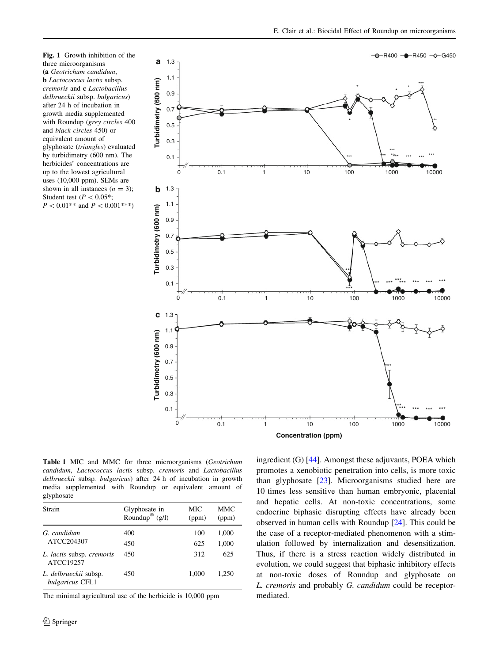<span id="page-3-0"></span>



Table 1 MIC and MMC for three microorganisms (Geotrichum candidum, Lactococcus lactis subsp. cremoris and Lactobacillus delbrueckii subsp. bulgaricus) after 24 h of incubation in growth media supplemented with Roundup or equivalent amount of glyphosate

| Strain                                   | Glyphosate in<br>Roundup <sup>®</sup> $(g/l)$ | MIC<br>(ppm) | <b>MMC</b><br>(ppm) |
|------------------------------------------|-----------------------------------------------|--------------|---------------------|
| G. candidum<br>ATCC204307                | 400                                           | 100          | 1,000               |
|                                          | 450                                           | 625          | 1,000               |
| L. lactis subsp. cremoris<br>ATCC19257   | 450                                           | 312          | 625                 |
| L. delbrueckii subsp.<br>bulgaricus CFL1 | 450                                           | 1.000        | 1.250               |

The minimal agricultural use of the herbicide is 10,000 ppm

ingredient (G) [[44\]](#page-5-0). Amongst these adjuvants, POEA which promotes a xenobiotic penetration into cells, is more toxic than glyphosate [[23\]](#page-5-0). Microorganisms studied here are 10 times less sensitive than human embryonic, placental and hepatic cells. At non-toxic concentrations, some endocrine biphasic disrupting effects have already been observed in human cells with Roundup [\[24](#page-5-0)]. This could be the case of a receptor-mediated phenomenon with a stimulation followed by internalization and desensitization. Thus, if there is a stress reaction widely distributed in evolution, we could suggest that biphasic inhibitory effects at non-toxic doses of Roundup and glyphosate on L. cremoris and probably G. candidum could be receptormediated.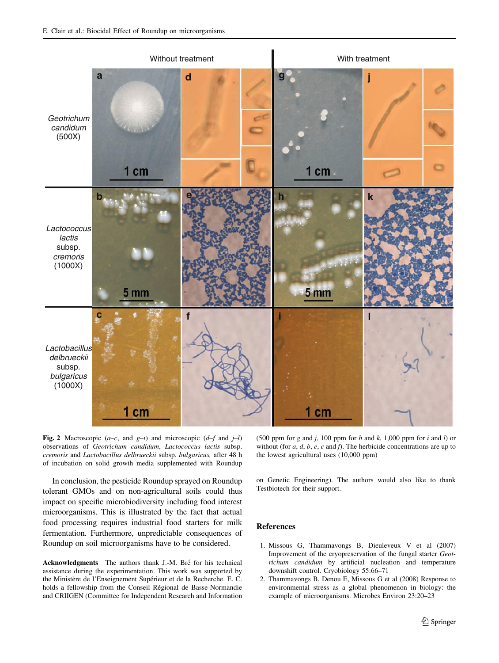<span id="page-4-0"></span>

Fig. 2 Macroscopic  $(a-c,$  and  $g-i)$  and microscopic  $(d-f$  and  $j-l)$ observations of Geotrichum candidum, Lactococcus lactis subsp. cremoris and Lactobacillus delbrueckii subsp. bulgaricus, after 48 h of incubation on solid growth media supplemented with Roundup

In conclusion, the pesticide Roundup sprayed on Roundup tolerant GMOs and on non-agricultural soils could thus impact on specific microbiodiversity including food interest microorganisms. This is illustrated by the fact that actual food processing requires industrial food starters for milk fermentation. Furthermore, unpredictable consequences of Roundup on soil microorganisms have to be considered.

Acknowledgments The authors thank J.-M. Bré for his technical assistance during the experimentation. This work was supported by the Ministère de l'Enseignement Supérieur et de la Recherche. E. C. holds a fellowship from the Conseil Régional de Basse-Normandie and CRIIGEN (Committee for Independent Research and Information

(500 ppm for  $g$  and  $j$ , 100 ppm for  $h$  and  $k$ , 1,000 ppm for  $i$  and  $l$ ) or without (for  $a$ ,  $d$ ,  $b$ ,  $e$ ,  $c$  and  $f$ ). The herbicide concentrations are up to the lowest agricultural uses (10,000 ppm)

on Genetic Engineering). The authors would also like to thank Testbiotech for their support.

## References

- 1. Missous G, Thammavongs B, Dieuleveux V et al (2007) Improvement of the cryopreservation of the fungal starter Geotrichum candidum by artificial nucleation and temperature downshift control. Cryobiology 55:66–71
- 2. Thammavongs B, Denou E, Missous G et al (2008) Response to environmental stress as a global phenomenon in biology: the example of microorganisms. Microbes Environ 23:20–23